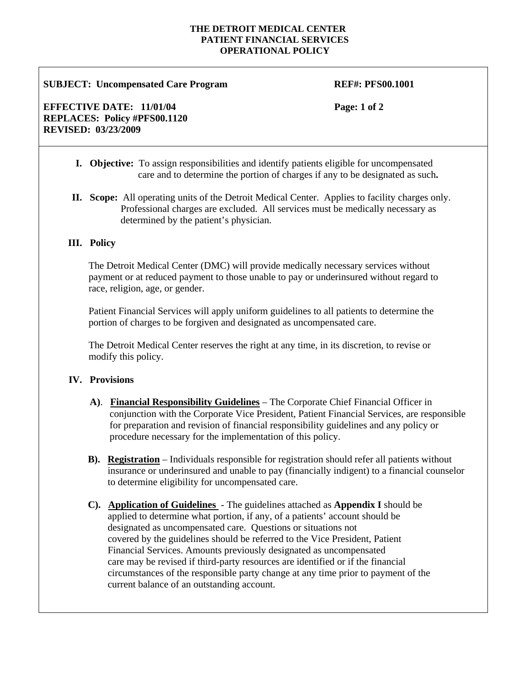#### **THE DETROIT MEDICAL CENTER PATIENT FINANCIAL SERVICES OPERATIONAL POLICY**

#### **SUBJECT: Uncompensated Care Program**  $REF#$ **: PFS00.1001**

**EFFECTIVE DATE:** 11/01/04 **Page: 1 of 2 REPLACES: Policy #PFS00.1120 REVISED: 03/23/2009** 

- **I. Objective:** To assign responsibilities and identify patients eligible for uncompensated care and to determine the portion of charges if any to be designated as such**.**
- **II. Scope:** All operating units of the Detroit Medical Center. Applies to facility charges only. Professional charges are excluded. All services must be medically necessary as determined by the patient's physician.

### **III. Policy**

 The Detroit Medical Center (DMC) will provide medically necessary services without payment or at reduced payment to those unable to pay or underinsured without regard to race, religion, age, or gender.

 Patient Financial Services will apply uniform guidelines to all patients to determine the portion of charges to be forgiven and designated as uncompensated care.

 The Detroit Medical Center reserves the right at any time, in its discretion, to revise or modify this policy.

### **IV. Provisions**

- **A)**. **Financial Responsibility Guidelines** The Corporate Chief Financial Officer in conjunction with the Corporate Vice President, Patient Financial Services, are responsible for preparation and revision of financial responsibility guidelines and any policy or procedure necessary for the implementation of this policy.
- **B). Registration** Individuals responsible for registration should refer all patients without insurance or underinsured and unable to pay (financially indigent) to a financial counselor to determine eligibility for uncompensated care.
- **C). Application of Guidelines** The guidelines attached as **Appendix I** should be applied to determine what portion, if any, of a patients' account should be designated as uncompensated care. Questions or situations not covered by the guidelines should be referred to the Vice President, Patient Financial Services. Amounts previously designated as uncompensated care may be revised if third-party resources are identified or if the financial circumstances of the responsible party change at any time prior to payment of the current balance of an outstanding account.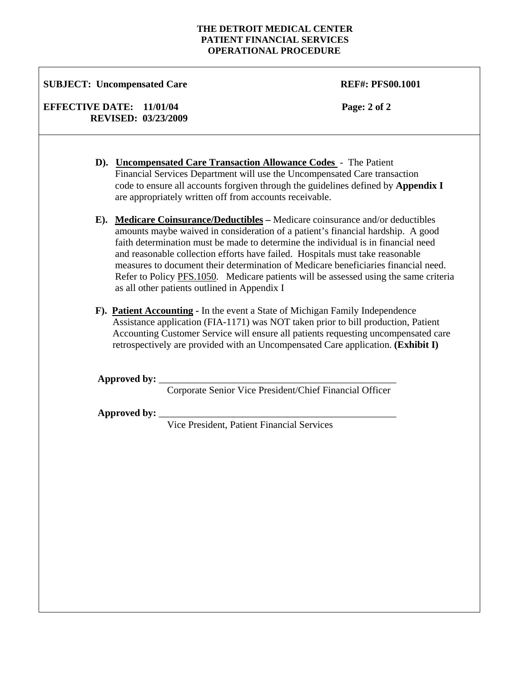#### **THE DETROIT MEDICAL CENTER PATIENT FINANCIAL SERVICES OPERATIONAL PROCEDURE**

## **SUBJECT: Uncompensated Care REF#: PFS00.1001**

## **EFFECTIVE DATE:** 11/01/04 **Page: 2 of 2 REVISED: 03/23/2009**

- **D). Uncompensated Care Transaction Allowance Codes** The Patient Financial Services Department will use the Uncompensated Care transaction code to ensure all accounts forgiven through the guidelines defined by **Appendix I** are appropriately written off from accounts receivable.
- **E). Medicare Coinsurance/Deductibles –** Medicare coinsurance and/or deductibles amounts maybe waived in consideration of a patient's financial hardship. A good faith determination must be made to determine the individual is in financial need and reasonable collection efforts have failed. Hospitals must take reasonable measures to document their determination of Medicare beneficiaries financial need. Refer to Policy PFS.1050. Medicare patients will be assessed using the same criteria as all other patients outlined in Appendix I
- **F). Patient Accounting** In the event a State of Michigan Family Independence Assistance application (FIA-1171) was NOT taken prior to bill production, Patient Accounting Customer Service will ensure all patients requesting uncompensated care retrospectively are provided with an Uncompensated Care application. **(Exhibit I)**

Approved by:

Corporate Senior Vice President/Chief Financial Officer

Approved by:

Vice President, Patient Financial Services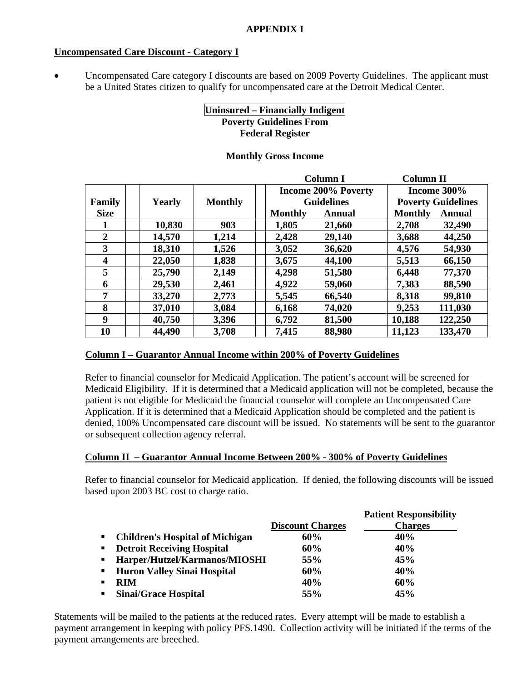## **Uncompensated Care Discount - Category I**

Uncompensated Care category I discounts are based on 2009 Poverty Guidelines. The applicant must be a United States citizen to qualify for uncompensated care at the Detroit Medical Center.

# **Uninsured – Financially Indigent Poverty Guidelines From Federal Register**

## **Monthly Gross Income**

|                |        |                |                | <b>Column I</b>            | <b>Column II</b> |                           |
|----------------|--------|----------------|----------------|----------------------------|------------------|---------------------------|
|                |        |                |                | <b>Income 200% Poverty</b> |                  | Income $300\%$            |
| Family         | Yearly | <b>Monthly</b> |                | <b>Guidelines</b>          |                  | <b>Poverty Guidelines</b> |
| <b>Size</b>    |        |                | <b>Monthly</b> | Annual                     | <b>Monthly</b>   | <b>Annual</b>             |
|                | 10,830 | 903            | 1,805          | 21,660                     | 2,708            | 32,490                    |
| $\overline{2}$ | 14,570 | 1,214          | 2,428          | 29,140                     | 3,688            | 44,250                    |
| 3              | 18,310 | 1,526          | 3,052          | 36,620                     | 4,576            | 54,930                    |
| 4              | 22,050 | 1,838          | 3,675          | 44,100                     | 5,513            | 66,150                    |
| 5              | 25,790 | 2,149          | 4,298          | 51,580                     | 6,448            | 77,370                    |
| 6              | 29,530 | 2,461          | 4,922          | 59,060                     | 7,383            | 88,590                    |
| 7              | 33,270 | 2,773          | 5,545          | 66,540                     | 8,318            | 99,810                    |
| 8              | 37,010 | 3,084          | 6,168          | 74,020                     | 9,253            | 111,030                   |
| 9              | 40,750 | 3,396          | 6,792          | 81,500                     | 10,188           | 122,250                   |
| 10             | 44,490 | 3,708          | 7,415          | 88,980                     | 11,123           | 133,470                   |

## **Column I – Guarantor Annual Income within 200% of Poverty Guidelines**

Refer to financial counselor for Medicaid Application. The patient's account will be screened for Medicaid Eligibility. If it is determined that a Medicaid application will not be completed, because the patient is not eligible for Medicaid the financial counselor will complete an Uncompensated Care Application. If it is determined that a Medicaid Application should be completed and the patient is denied, 100% Uncompensated care discount will be issued. No statements will be sent to the guarantor or subsequent collection agency referral.

## **Column II – Guarantor Annual Income Between 200% - 300% of Poverty Guidelines**

Refer to financial counselor for Medicaid application. If denied, the following discounts will be issued based upon 2003 BC cost to charge ratio.

|                |                                        |                         | <b>Patient Responsibility</b> |
|----------------|----------------------------------------|-------------------------|-------------------------------|
|                |                                        | <b>Discount Charges</b> | <b>Charges</b>                |
| $\blacksquare$ | <b>Children's Hospital of Michigan</b> | 60%                     | 40%                           |
| $\blacksquare$ | <b>Detroit Receiving Hospital</b>      | 60%                     | 40%                           |
| $\blacksquare$ | Harper/Hutzel/Karmanos/MIOSHI          | 55%                     | 45%                           |
| $\blacksquare$ | <b>Huron Valley Sinai Hospital</b>     | 60%                     | 40%                           |
| ٠              | <b>RIM</b>                             | 40%                     | 60%                           |
| $\blacksquare$ | <b>Sinai/Grace Hospital</b>            | 55%                     | 45%                           |

Statements will be mailed to the patients at the reduced rates. Every attempt will be made to establish a payment arrangement in keeping with policy PFS.1490. Collection activity will be initiated if the terms of the payment arrangements are breeched.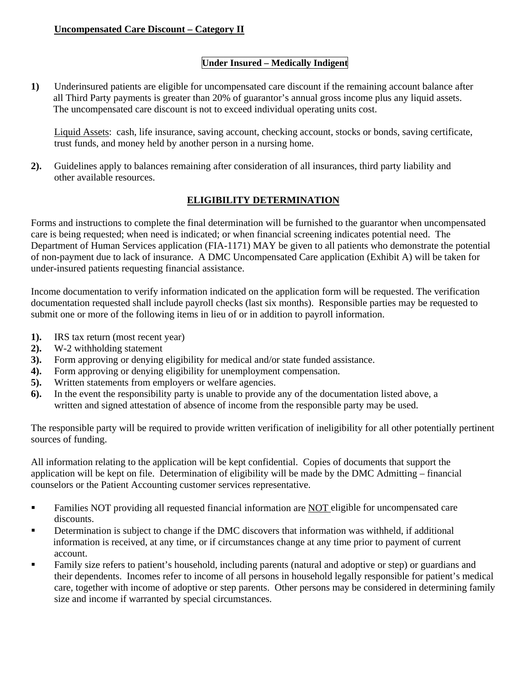# **Uncompensated Care Discount – Category II**

# **Under Insured – Medically Indigent**

**1)** Underinsured patients are eligible for uncompensated care discount if the remaining account balance after all Third Party payments is greater than 20% of guarantor's annual gross income plus any liquid assets. The uncompensated care discount is not to exceed individual operating units cost.

Liquid Assets: cash, life insurance, saving account, checking account, stocks or bonds, saving certificate, trust funds, and money held by another person in a nursing home.

**2).** Guidelines apply to balances remaining after consideration of all insurances, third party liability and other available resources.

# **ELIGIBILITY DETERMINATION**

Forms and instructions to complete the final determination will be furnished to the guarantor when uncompensated care is being requested; when need is indicated; or when financial screening indicates potential need. The Department of Human Services application (FIA-1171) MAY be given to all patients who demonstrate the potential of non-payment due to lack of insurance. A DMC Uncompensated Care application (Exhibit A) will be taken for under-insured patients requesting financial assistance.

Income documentation to verify information indicated on the application form will be requested. The verification documentation requested shall include payroll checks (last six months). Responsible parties may be requested to submit one or more of the following items in lieu of or in addition to payroll information.

- **1).** IRS tax return (most recent year)
- **2).** W-2 withholding statement
- **3).** Form approving or denying eligibility for medical and/or state funded assistance.
- **4).** Form approving or denying eligibility for unemployment compensation.
- **5).** Written statements from employers or welfare agencies.
- **6).** In the event the responsibility party is unable to provide any of the documentation listed above, a written and signed attestation of absence of income from the responsible party may be used.

The responsible party will be required to provide written verification of ineligibility for all other potentially pertinent sources of funding.

All information relating to the application will be kept confidential. Copies of documents that support the application will be kept on file. Determination of eligibility will be made by the DMC Admitting – financial counselors or the Patient Accounting customer services representative.

- Families NOT providing all requested financial information are NOT eligible for uncompensated care discounts.
- Determination is subject to change if the DMC discovers that information was withheld, if additional information is received, at any time, or if circumstances change at any time prior to payment of current account.
- **Family size refers to patient's household, including parents (natural and adoptive or step) or guardians and** their dependents. Incomes refer to income of all persons in household legally responsible for patient's medical care, together with income of adoptive or step parents. Other persons may be considered in determining family size and income if warranted by special circumstances.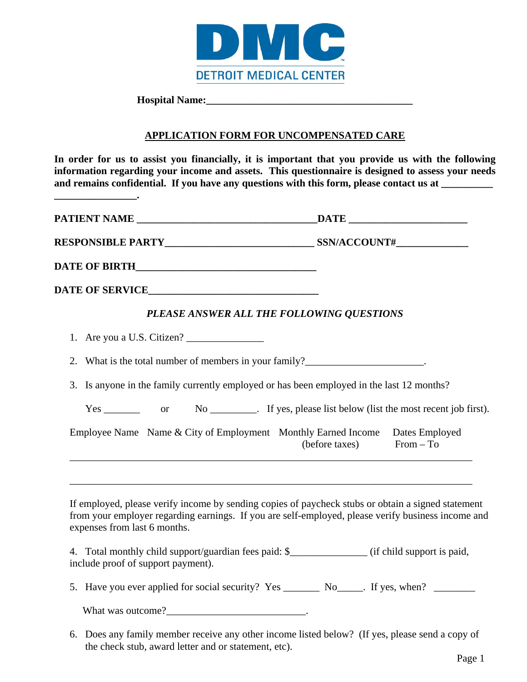

**Hospital Name:\_\_\_\_\_\_\_\_\_\_\_\_\_\_\_\_\_\_\_\_\_\_\_\_\_\_\_\_\_\_\_\_\_\_\_\_\_\_\_\_** 

the check stub, award letter and or statement, etc).

**\_\_\_\_\_\_\_\_\_\_\_\_\_\_\_\_.** 

# **APPLICATION FORM FOR UNCOMPENSATED CARE**

**In order for us to assist you financially, it is important that you provide us with the following information regarding your income and assets. This questionnaire is designed to assess your needs**  and remains confidential. If you have any questions with this form, please contact us at \_\_\_\_\_\_\_\_\_\_

|                                                               | PLEASE ANSWER ALL THE FOLLOWING QUESTIONS                                                                                                                                                                |
|---------------------------------------------------------------|----------------------------------------------------------------------------------------------------------------------------------------------------------------------------------------------------------|
| 1. Are you a U.S. Citizen?                                    |                                                                                                                                                                                                          |
|                                                               | 2. What is the total number of members in your family?__________________________.                                                                                                                        |
|                                                               | 3. Is anyone in the family currently employed or has been employed in the last 12 months?                                                                                                                |
|                                                               | Yes __________ or No _________. If yes, please list below (list the most recent job first).                                                                                                              |
| Employee Name Name & City of Employment Monthly Earned Income | Dates Employed<br>$From - To$<br>(before taxes)                                                                                                                                                          |
| expenses from last 6 months.                                  | If employed, please verify income by sending copies of paycheck stubs or obtain a signed statement<br>from your employer regarding earnings. If you are self-employed, please verify business income and |
| include proof of support payment).                            | 4. Total monthly child support/guardian fees paid: \$_______________ (if child support is paid,                                                                                                          |
|                                                               | 5. Have you ever applied for social security? Yes __________ No______. If yes, when? _________                                                                                                           |
|                                                               |                                                                                                                                                                                                          |
|                                                               | 6. Does any family member receive any other income listed below? (If yes, please send a copy of                                                                                                          |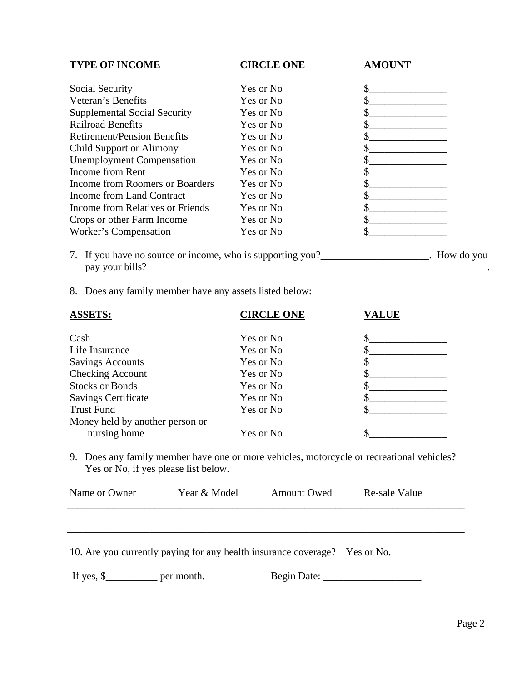| <b>TYPE OF INCOME</b>               | <b>CIRCLE ONE</b> | <b>AMOUNT</b> |
|-------------------------------------|-------------------|---------------|
| Social Security                     | Yes or No         |               |
| Veteran's Benefits                  | Yes or No         |               |
| <b>Supplemental Social Security</b> | Yes or No         |               |
| <b>Railroad Benefits</b>            | Yes or No         |               |
| <b>Retirement/Pension Benefits</b>  | Yes or No         |               |
| <b>Child Support or Alimony</b>     | Yes or No         |               |
| <b>Unemployment Compensation</b>    | Yes or No         |               |
| Income from Rent                    | Yes or No         |               |
| Income from Roomers or Boarders     | Yes or No         |               |
| Income from Land Contract           | Yes or No         |               |
| Income from Relatives or Friends    | Yes or No         |               |
| Crops or other Farm Income          | Yes or No         |               |
| Worker's Compensation               | Yes or No         |               |

8. Does any family member have any assets listed below:

| <b>ASSETS:</b>                  | <b>CIRCLE ONE</b> | <b>VALUE</b> |
|---------------------------------|-------------------|--------------|
| Cash                            | Yes or No         |              |
| Life Insurance                  | Yes or No         |              |
| <b>Savings Accounts</b>         | Yes or No         |              |
| <b>Checking Account</b>         | Yes or No         |              |
| <b>Stocks or Bonds</b>          | Yes or No         |              |
| <b>Savings Certificate</b>      | Yes or No         |              |
| <b>Trust Fund</b>               | Yes or No         |              |
| Money held by another person or |                   |              |
| nursing home                    | Yes or No         |              |

9. Does any family member have one or more vehicles, motorcycle or recreational vehicles? Yes or No, if yes please list below.

| Name or Owner | Year & Model                                                        | <b>Amount Owed</b> | Re-sale Value |
|---------------|---------------------------------------------------------------------|--------------------|---------------|
|               |                                                                     |                    |               |
|               |                                                                     |                    |               |
|               | $104$ currently paying for any health insurance coverage? Yes or No |                    |               |

|  |  |  |  |  | 10. Are you currently paying for any health insurance coverage? Yes or No. |  |
|--|--|--|--|--|----------------------------------------------------------------------------|--|
|--|--|--|--|--|----------------------------------------------------------------------------|--|

If yes, \$\_\_\_\_\_\_\_\_\_\_ per month. Begin Date: \_\_\_\_\_\_\_\_\_\_\_\_\_\_\_\_\_\_\_